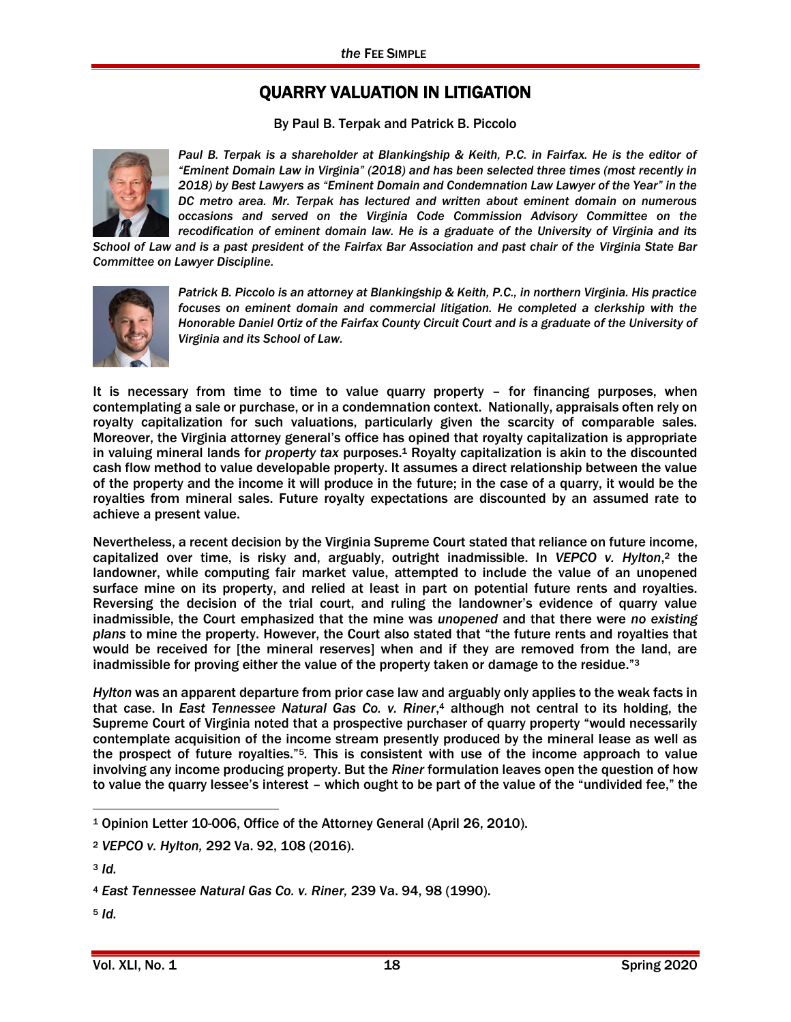## QUARRY VALUATION IN LITIGATION

By Paul B. Terpak and Patrick B. Piccolo



Paul B. Terpak is a shareholder at Blankingship & Keith, P.C. in Fairfax. He is the editor of *"Eminent Domain Law in Virginia" (2018) and has been selected three times (most recently in 2018) by Best Lawyers as "Eminent Domain and Condemnation Law Lawyer of the Year" in the DC metro area. Mr. Terpak has lectured and written about eminent domain on numerous occasions and served on the Virginia Code Commission Advisory Committee on the recodification of eminent domain law. He is a graduate of the University of Virginia and its* 

*School of Law and is a past president of the Fairfax Bar Association and past chair of the Virginia State Bar Committee on Lawyer Discipline.*



*Patrick B. Piccolo is an attorney at Blankingship & Keith, P.C., in northern Virginia. His practice focuses on eminent domain and commercial litigation. He completed a clerkship with the Honorable Daniel Ortiz of the Fairfax County Circuit Court and is a graduate of the University of Virginia and its School of Law.*

It is necessary from time to time to value quarry property – for financing purposes, when contemplating a sale or purchase, or in a condemnation context. Nationally, appraisals often rely on royalty capitalization for such valuations, particularly given the scarcity of comparable sales. Moreover, the Virginia attorney general's office has opined that royalty capitalization is appropriate in valuing mineral lands for *property tax* purposes.<sup>1</sup> Royalty capitalization is akin to the discounted cash flow method to value developable property. It assumes a direct relationship between the value of the property and the income it will produce in the future; in the case of a quarry, it would be the royalties from mineral sales. Future royalty expectations are discounted by an assumed rate to achieve a present value.

Nevertheless, a recent decision by the Virginia Supreme Court stated that reliance on future income, capitalized over time, is risky and, arguably, outright inadmissible. In *VEPCO v. Hylton*, <sup>2</sup> the landowner, while computing fair market value, attempted to include the value of an unopened surface mine on its property, and relied at least in part on potential future rents and royalties. Reversing the decision of the trial court, and ruling the landowner's evidence of quarry value inadmissible, the Court emphasized that the mine was *unopened* and that there were *no existing plans* to mine the property. However, the Court also stated that "the future rents and royalties that would be received for [the mineral reserves] when and if they are removed from the land, are inadmissible for proving either the value of the property taken or damage to the residue."<sup>3</sup>

*Hylton* was an apparent departure from prior case law and arguably only applies to the weak facts in that case. In *East Tennessee Natural Gas Co. v. Riner*, <sup>4</sup> although not central to its holding, the Supreme Court of Virginia noted that a prospective purchaser of quarry property "would necessarily contemplate acquisition of the income stream presently produced by the mineral lease as well as the prospect of future royalties."5*.* This is consistent with use of the income approach to value involving any income producing property. But the *Riner* formulation leaves open the question of how to value the quarry lessee's interest – which ought to be part of the value of the "undivided fee," the

 $\overline{a}$ 

<sup>1</sup> Opinion Letter 10-006, Office of the Attorney General (April 26, 2010).

<sup>2</sup> *VEPCO v. Hylton,* 292 Va. 92, 108 (2016).

<sup>3</sup> *Id.*

<sup>4</sup> *East Tennessee Natural Gas Co. v. Riner,* 239 Va. 94, 98 (1990).

<sup>5</sup> *Id.*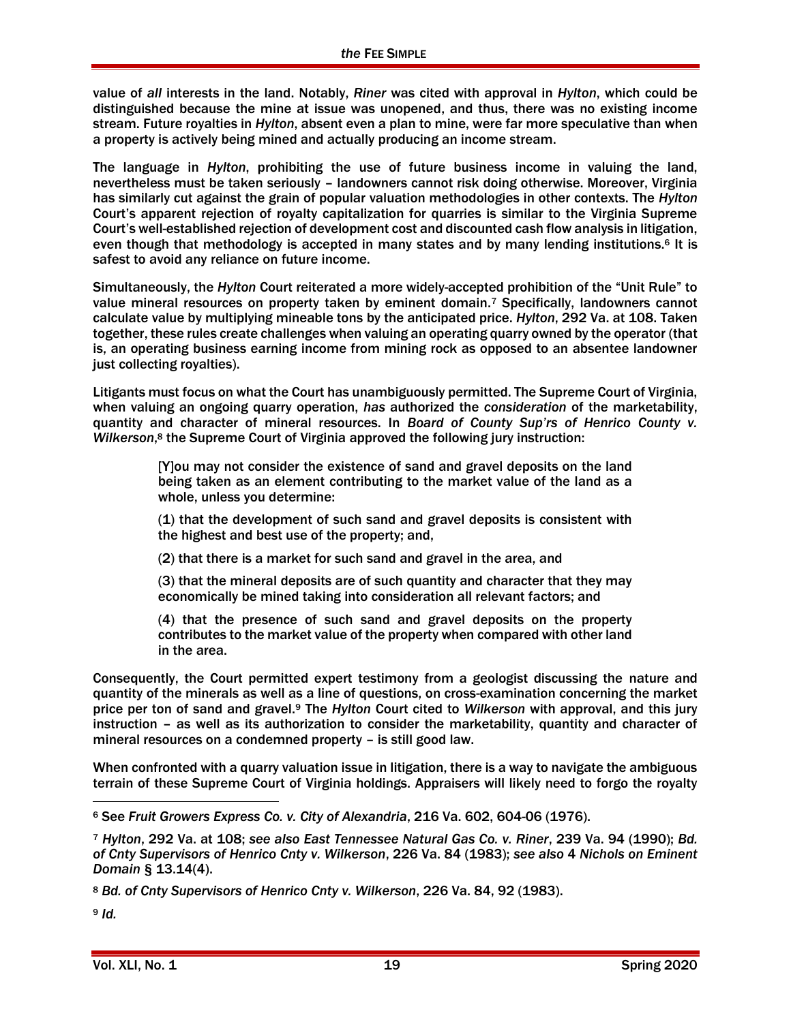value of *all* interests in the land. Notably, *Riner* was cited with approval in *Hylton*, which could be distinguished because the mine at issue was unopened, and thus, there was no existing income stream. Future royalties in *Hylton*, absent even a plan to mine, were far more speculative than when a property is actively being mined and actually producing an income stream.

The language in *Hylton*, prohibiting the use of future business income in valuing the land, nevertheless must be taken seriously – landowners cannot risk doing otherwise. Moreover, Virginia has similarly cut against the grain of popular valuation methodologies in other contexts. The *Hylton* Court's apparent rejection of royalty capitalization for quarries is similar to the Virginia Supreme Court's well-established rejection of development cost and discounted cash flow analysis in litigation, even though that methodology is accepted in many states and by many lending institutions.<sup>6</sup> It is safest to avoid any reliance on future income.

Simultaneously, the *Hylton* Court reiterated a more widely-accepted prohibition of the "Unit Rule" to value mineral resources on property taken by eminent domain.<sup>7</sup> Specifically, landowners cannot calculate value by multiplying mineable tons by the anticipated price. *Hylton*, 292 Va. at 108. Taken together, these rules create challenges when valuing an operating quarry owned by the operator (that is, an operating business earning income from mining rock as opposed to an absentee landowner just collecting royalties).

Litigants must focus on what the Court has unambiguously permitted. The Supreme Court of Virginia, when valuing an ongoing quarry operation, *has* authorized the *consideration* of the marketability, quantity and character of mineral resources. In *Board of County Sup'rs of Henrico County v. Wilkerson*, <sup>8</sup> the Supreme Court of Virginia approved the following jury instruction:

> [Y]ou may not consider the existence of sand and gravel deposits on the land being taken as an element contributing to the market value of the land as a whole, unless you determine:

> (1) that the development of such sand and gravel deposits is consistent with the highest and best use of the property; and,

(2) that there is a market for such sand and gravel in the area, and

(3) that the mineral deposits are of such quantity and character that they may economically be mined taking into consideration all relevant factors; and

(4) that the presence of such sand and gravel deposits on the property contributes to the market value of the property when compared with other land in the area.

Consequently, the Court permitted expert testimony from a geologist discussing the nature and quantity of the minerals as well as a line of questions, on cross-examination concerning the market price per ton of sand and gravel.<sup>9</sup> The *Hylton* Court cited to *Wilkerson* with approval, and this jury instruction – as well as its authorization to consider the marketability, quantity and character of mineral resources on a condemned property – is still good law.

When confronted with a quarry valuation issue in litigation, there is a way to navigate the ambiguous terrain of these Supreme Court of Virginia holdings. Appraisers will likely need to forgo the royalty

<sup>9</sup> *Id.*

 $\overline{a}$ <sup>6</sup> See *Fruit Growers Express Co. v. City of Alexandria*, 216 Va. 602, 604-06 (1976).

<sup>7</sup> *Hylton*, 292 Va. at 108; *see also East Tennessee Natural Gas Co. v. Riner*, 239 Va. 94 (1990); *Bd. of Cnty Supervisors of Henrico Cnty v. Wilkerson*, 226 Va. 84 (1983); *see also* 4 *Nichols on Eminent Domain* § 13.14(4).

<sup>8</sup> *Bd. of Cnty Supervisors of Henrico Cnty v. Wilkerson*, 226 Va. 84, 92 (1983).